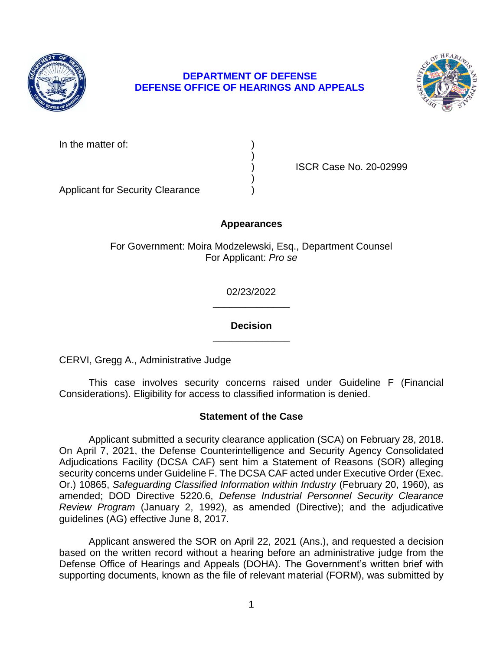

## **DEPARTMENT OF DEFENSE DEFENSE OFFICE OF HEARINGS AND APPEALS**



| In the matter of: |  |
|-------------------|--|
|                   |  |

) ISCR Case No. 20-02999

Applicant for Security Clearance )

# **Appearances**

)

)

For Government: Moira Modzelewski, Esq., Department Counsel For Applicant: *Pro se* 

> **\_\_\_\_\_\_\_\_\_\_\_\_\_\_**  02/23/2022

> **\_\_\_\_\_\_\_\_\_\_\_\_\_\_ Decision**

CERVI, Gregg A., Administrative Judge

 This case involves security concerns raised under Guideline F (Financial Considerations). Eligibility for access to classified information is denied.

# **Statement of the Case**

 Applicant submitted a security clearance application (SCA) on February 28, 2018. On April 7, 2021, the Defense Counterintelligence and Security Agency Consolidated  Or.) 10865, *Safeguarding Classified Information within Industry* (February 20, 1960), as *Review Program* (January 2, 1992), as amended (Directive); and the adjudicative Adjudications Facility (DCSA CAF) sent him a Statement of Reasons (SOR) alleging security concerns under Guideline F. The DCSA CAF acted under Executive Order (Exec. amended; DOD Directive 5220.6, *Defense Industrial Personnel Security Clearance*  guidelines (AG) effective June 8, 2017.

 Applicant answered the SOR on April 22, 2021 (Ans.), and requested a decision based on the written record without a hearing before an administrative judge from the Defense Office of Hearings and Appeals (DOHA). The Government's written brief with supporting documents, known as the file of relevant material (FORM), was submitted by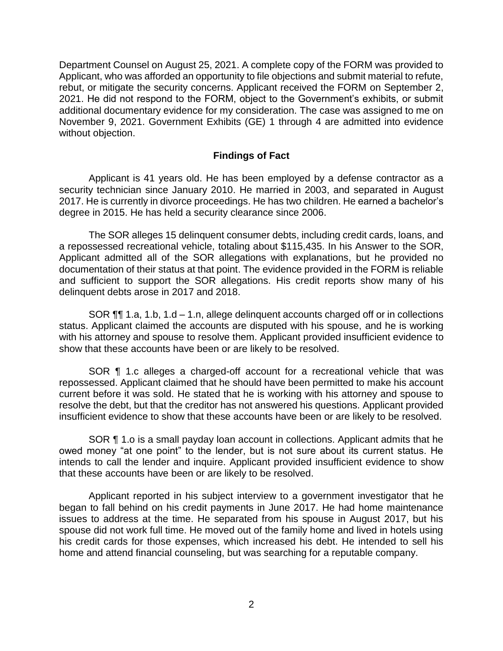Department Counsel on August 25, 2021. A complete copy of the FORM was provided to Applicant, who was afforded an opportunity to file objections and submit material to refute, rebut, or mitigate the security concerns. Applicant received the FORM on September 2, 2021. He did not respond to the FORM, object to the Government's exhibits, or submit additional documentary evidence for my consideration. The case was assigned to me on November 9, 2021. Government Exhibits (GE) 1 through 4 are admitted into evidence without objection.

#### **Findings of Fact**

 Applicant is 41 years old. He has been employed by a defense contractor as a 2017. He is currently in divorce proceedings. He has two children. He earned a bachelor's security technician since January 2010. He married in 2003, and separated in August degree in 2015. He has held a security clearance since 2006.

 The SOR alleges 15 delinquent consumer debts, including credit cards, loans, and a repossessed recreational vehicle, totaling about \$115,435. In his Answer to the SOR, Applicant admitted all of the SOR allegations with explanations, but he provided no documentation of their status at that point. The evidence provided in the FORM is reliable and sufficient to support the SOR allegations. His credit reports show many of his delinquent debts arose in 2017 and 2018.

 SOR ¶¶ 1.a, 1.b, 1.d – 1.n, allege delinquent accounts charged off or in collections status. Applicant claimed the accounts are disputed with his spouse, and he is working with his attorney and spouse to resolve them. Applicant provided insufficient evidence to show that these accounts have been or are likely to be resolved.

SOR **[1** 1.c alleges a charged-off account for a recreational vehicle that was repossessed. Applicant claimed that he should have been permitted to make his account current before it was sold. He stated that he is working with his attorney and spouse to resolve the debt, but that the creditor has not answered his questions. Applicant provided insufficient evidence to show that these accounts have been or are likely to be resolved.

SOR ¶ 1.o is a small payday loan account in collections. Applicant admits that he owed money "at one point" to the lender, but is not sure about its current status. He intends to call the lender and inquire. Applicant provided insufficient evidence to show that these accounts have been or are likely to be resolved.

 Applicant reported in his subject interview to a government investigator that he began to fall behind on his credit payments in June 2017. He had home maintenance issues to address at the time. He separated from his spouse in August 2017, but his spouse did not work full time. He moved out of the family home and lived in hotels using his credit cards for those expenses, which increased his debt. He intended to sell his home and attend financial counseling, but was searching for a reputable company.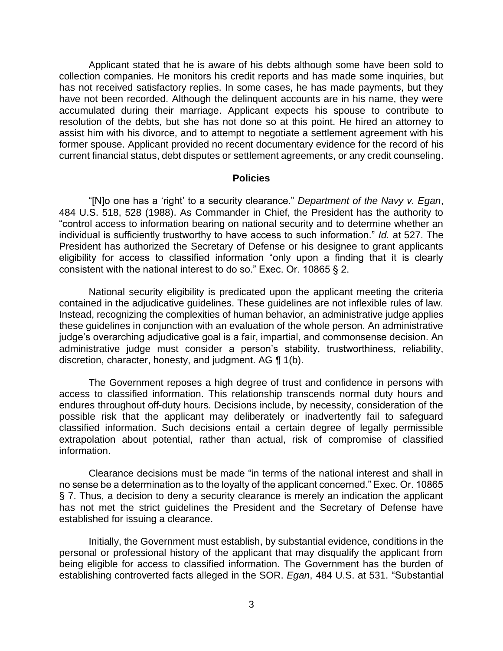Applicant stated that he is aware of his debts although some have been sold to collection companies. He monitors his credit reports and has made some inquiries, but has not received satisfactory replies. In some cases, he has made payments, but they have not been recorded. Although the delinquent accounts are in his name, they were accumulated during their marriage. Applicant expects his spouse to contribute to resolution of the debts, but she has not done so at this point. He hired an attorney to assist him with his divorce, and to attempt to negotiate a settlement agreement with his former spouse. Applicant provided no recent documentary evidence for the record of his current financial status, debt disputes or settlement agreements, or any credit counseling.

#### **Policies**

 "[N]o one has a 'right' to a security clearance." *Department of the Navy v. Egan*, 484 U.S. 518, 528 (1988). As Commander in Chief, the President has the authority to "control access to information bearing on national security and to determine whether an individual is sufficiently trustworthy to have access to such information." *Id.* at 527. The President has authorized the Secretary of Defense or his designee to grant applicants eligibility for access to classified information "only upon a finding that it is clearly consistent with the national interest to do so." Exec. Or. 10865 § 2.

 National security eligibility is predicated upon the applicant meeting the criteria contained in the adjudicative guidelines. These guidelines are not inflexible rules of law. Instead, recognizing the complexities of human behavior, an administrative judge applies these guidelines in conjunction with an evaluation of the whole person. An administrative administrative judge must consider a person's stability, trustworthiness, reliability, discretion, character, honesty, and judgment. AG ¶ 1(b). judge's overarching adjudicative goal is a fair, impartial, and commonsense decision. An

 The Government reposes a high degree of trust and confidence in persons with access to classified information. This relationship transcends normal duty hours and endures throughout off-duty hours. Decisions include, by necessity, consideration of the possible risk that the applicant may deliberately or inadvertently fail to safeguard classified information. Such decisions entail a certain degree of legally permissible extrapolation about potential, rather than actual, risk of compromise of classified information.

 Clearance decisions must be made "in terms of the national interest and shall in no sense be a determination as to the loyalty of the applicant concerned." Exec. Or. 10865 § 7. Thus, a decision to deny a security clearance is merely an indication the applicant has not met the strict guidelines the President and the Secretary of Defense have established for issuing a clearance.

 Initially, the Government must establish, by substantial evidence, conditions in the personal or professional history of the applicant that may disqualify the applicant from being eligible for access to classified information. The Government has the burden of establishing controverted facts alleged in the SOR. *Egan*, 484 U.S. at 531. "Substantial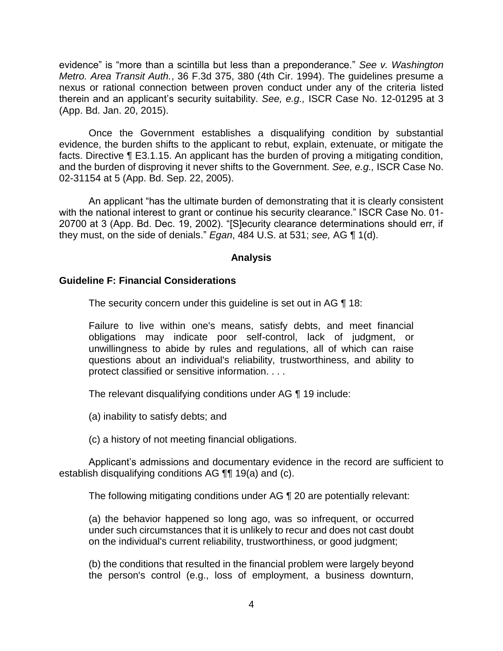evidence" is "more than a scintilla but less than a preponderance." *See v. Washington Metro. Area Transit Auth.*, 36 F.3d 375, 380 (4th Cir. 1994). The guidelines presume a nexus or rational connection between proven conduct under any of the criteria listed therein and an applicant's security suitability. *See, e.g.,* ISCR Case No. 12-01295 at 3 (App. Bd. Jan. 20, 2015).

 Once the Government establishes a disqualifying condition by substantial evidence, the burden shifts to the applicant to rebut, explain, extenuate, or mitigate the facts. Directive ¶ E3.1.15. An applicant has the burden of proving a mitigating condition, and the burden of disproving it never shifts to the Government. *See, e.g.,* ISCR Case No. 02-31154 at 5 (App. Bd. Sep. 22, 2005).

An applicant "has the ultimate burden of demonstrating that it is clearly consistent with the national interest to grant or continue his security clearance." ISCR Case No. 01- 20700 at 3 (App. Bd. Dec. 19, 2002). "[S]ecurity clearance determinations should err, if they must, on the side of denials." *Egan*, 484 U.S. at 531; *see,* AG ¶ 1(d).

## **Analysis**

## **Guideline F: Financial Considerations**

The security concern under this quideline is set out in AG ¶ 18:

 Failure to live within one's means, satisfy debts, and meet financial obligations may indicate poor self-control, lack of judgment, or unwillingness to abide by rules and regulations, all of which can raise questions about an individual's reliability, trustworthiness, and ability to protect classified or sensitive information. . . .

The relevant disqualifying conditions under AG ¶ 19 include:

(a) inability to satisfy debts; and

(c) a history of not meeting financial obligations.

 Applicant's admissions and documentary evidence in the record are sufficient to establish disqualifying conditions AG ¶¶ 19(a) and (c).

The following mitigating conditions under AG ¶ 20 are potentially relevant:

(a) the behavior happened so long ago, was so infrequent, or occurred under such circumstances that it is unlikely to recur and does not cast doubt on the individual's current reliability, trustworthiness, or good judgment;

(b) the conditions that resulted in the financial problem were largely beyond the person's control (e.g., loss of employment, a business downturn,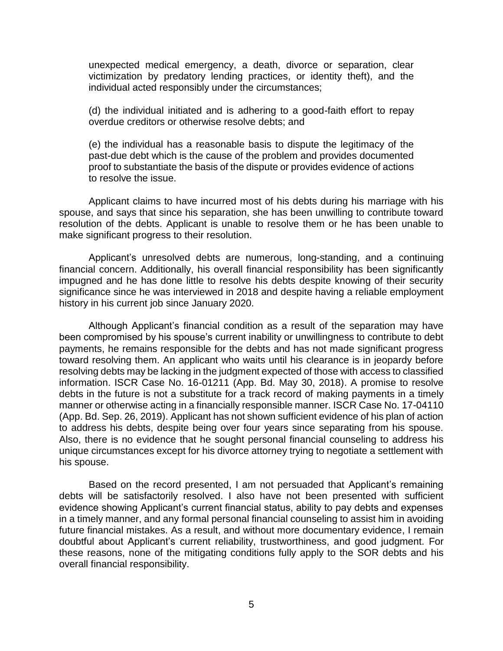unexpected medical emergency, a death, divorce or separation, clear victimization by predatory lending practices, or identity theft), and the individual acted responsibly under the circumstances;

(d) the individual initiated and is adhering to a good-faith effort to repay overdue creditors or otherwise resolve debts; and

(e) the individual has a reasonable basis to dispute the legitimacy of the past-due debt which is the cause of the problem and provides documented proof to substantiate the basis of the dispute or provides evidence of actions to resolve the issue.

 Applicant claims to have incurred most of his debts during his marriage with his spouse, and says that since his separation, she has been unwilling to contribute toward resolution of the debts. Applicant is unable to resolve them or he has been unable to make significant progress to their resolution.

 Applicant's unresolved debts are numerous, long-standing, and a continuing financial concern. Additionally, his overall financial responsibility has been significantly impugned and he has done little to resolve his debts despite knowing of their security significance since he was interviewed in 2018 and despite having a reliable employment history in his current job since January 2020.

 Although Applicant's financial condition as a result of the separation may have been compromised by his spouse's current inability or unwillingness to contribute to debt payments, he remains responsible for the debts and has not made significant progress toward resolving them. An applicant who waits until his clearance is in jeopardy before resolving debts may be lacking in the judgment expected of those with access to classified information. ISCR Case No. 16-01211 (App. Bd. May 30, 2018). A promise to resolve debts in the future is not a substitute for a track record of making payments in a timely manner or otherwise acting in a financially responsible manner. ISCR Case No. 17-04110 (App. Bd. Sep. 26, 2019). Applicant has not shown sufficient evidence of his plan of action to address his debts, despite being over four years since separating from his spouse. Also, there is no evidence that he sought personal financial counseling to address his unique circumstances except for his divorce attorney trying to negotiate a settlement with his spouse.

 Based on the record presented, I am not persuaded that Applicant's remaining debts will be satisfactorily resolved. I also have not been presented with sufficient evidence showing Applicant's current financial status, ability to pay debts and expenses in a timely manner, and any formal personal financial counseling to assist him in avoiding these reasons, none of the mitigating conditions fully apply to the SOR debts and his future financial mistakes. As a result, and without more documentary evidence, I remain doubtful about Applicant's current reliability, trustworthiness, and good judgment. For overall financial responsibility.